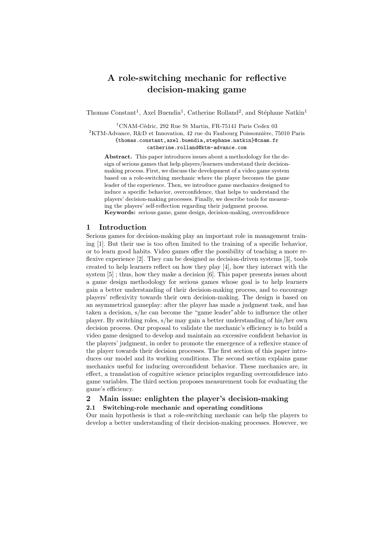# A role-switching mechanic for reflective decision-making game

Thomas Constant<sup>1</sup>, Axel Buendia<sup>1</sup>, Catherine Rolland<sup>2</sup>, and Stéphane Natkin<sup>1</sup>

 $1$ CNAM-Cédric, 292 Rue St Martin, FR-75141 Paris Cedex 03

<sup>2</sup>KTM-Advance, R&D et Innovation, 42 rue du Faubourg Poissonnière, 75010 Paris

{thomas.constant,axel.buendia,stephane.natkin}@cnam.fr

catherine.rolland@ktm-advance.com

Abstract. This paper introduces issues about a methodology for the design of serious games that help players/learners understand their decisionmaking process. First, we discuss the development of a video game system based on a role-switching mechanic where the player becomes the game leader of the experience. Then, we introduce game mechanics designed to induce a specific behavior, overconfidence, that helps to understand the players' decision-making processes. Finally, we describe tools for measuring the players' self-reflection regarding their judgment process. Keywords: serious game, game design, decision-making, overconfidence

#### 1 Introduction

Serious games for decision-making play an important role in management training [1]. But their use is too often limited to the training of a specific behavior, or to learn good habits. Video games offer the possibility of teaching a more reflexive experience [2]. They can be designed as decision-driven systems [3], tools created to help learners reflect on how they play [4], how they interact with the system [5] ; thus, how they make a decision [6]. This paper presents issues about a game design methodology for serious games whose goal is to help learners gain a better understanding of their decision-making process, and to encourage players' reflexivity towards their own decision-making. The design is based on an asymmetrical gameplay: after the player has made a judgment task, and has taken a decision, s/he can become the "game leader"able to influence the other player. By switching roles, s/he may gain a better understanding of his/her own decision process. Our proposal to validate the mechanic's efficiency is to build a video game designed to develop and maintain an excessive confident behavior in the players' judgment, in order to promote the emergence of a reflexive stance of the player towards their decision processes. The first section of this paper introduces our model and its working conditions. The second section explains game mechanics useful for inducing overconfident behavior. These mechanics are, in effect, a translation of cognitive science principles regarding overconfidence into game variables. The third section proposes measurement tools for evaluating the game's efficiency.

# 2 Main issue: enlighten the player's decision-making

# 2.1 Switching-role mechanic and operating conditions

Our main hypothesis is that a role-switching mechanic can help the players to develop a better understanding of their decision-making processes. However, we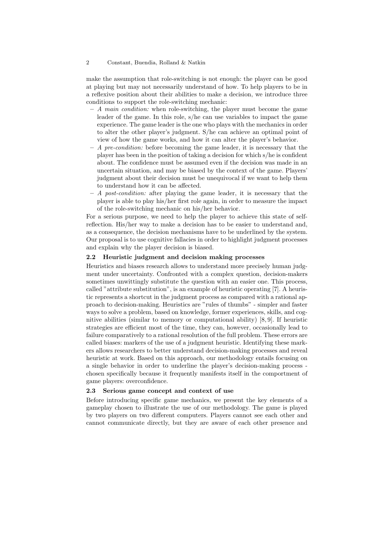#### 2 Constant, Buendia, Rolland & Natkin

make the assumption that role-switching is not enough: the player can be good at playing but may not necessarily understand of how. To help players to be in a reflexive position about their abilities to make a decision, we introduce three conditions to support the role-switching mechanic:

- $A$  main condition: when role-switching, the player must become the game leader of the game. In this role, s/he can use variables to impact the game experience. The game leader is the one who plays with the mechanics in order to alter the other player's judgment. S/he can achieve an optimal point of view of how the game works, and how it can alter the player's behavior.
- $A$  pre-condition: before becoming the game leader, it is necessary that the player has been in the position of taking a decision for which s/he is confident about. The confidence must be assumed even if the decision was made in an uncertain situation, and may be biased by the context of the game. Players' judgment about their decision must be unequivocal if we want to help them to understand how it can be affected.
- $A$  post-condition: after playing the game leader, it is necessary that the player is able to play his/her first role again, in order to measure the impact of the role-switching mechanic on his/her behavior.

For a serious purpose, we need to help the player to achieve this state of selfreflection. His/her way to make a decision has to be easier to understand and, as a consequence, the decision mechanisms have to be underlined by the system. Our proposal is to use cognitive fallacies in order to highlight judgment processes and explain why the player decision is biased.

#### 2.2 Heuristic judgment and decision making processes

Heuristics and biases research allows to understand more precisely human judgment under uncertainty. Confronted with a complex question, decision-makers sometimes unwittingly substitute the question with an easier one. This process, called "attribute substitution", is an example of heuristic operating [7]. A heuristic represents a shortcut in the judgment process as compared with a rational approach to decision-making. Heuristics are "rules of thumbs" - simpler and faster ways to solve a problem, based on knowledge, former experiences, skills, and cognitive abilities (similar to memory or computational ability) [8, 9]. If heuristic strategies are efficient most of the time, they can, however, occasionally lead to failure comparatively to a rational resolution of the full problem. These errors are called biases: markers of the use of a judgment heuristic. Identifying these markers allows researchers to better understand decision-making processes and reveal heuristic at work. Based on this approach, our methodology entails focusing on a single behavior in order to underline the player's decision-making process chosen specifically because it frequently manifests itself in the comportment of game players: overconfidence.

#### 2.3 Serious game concept and context of use

Before introducing specific game mechanics, we present the key elements of a gameplay chosen to illustrate the use of our methodology. The game is played by two players on two different computers. Players cannot see each other and cannot communicate directly, but they are aware of each other presence and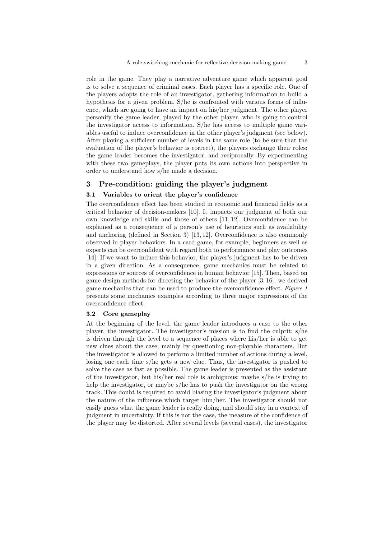role in the game. They play a narrative adventure game which apparent goal is to solve a sequence of criminal cases. Each player has a specific role. One of the players adopts the role of an investigator, gathering information to build a hypothesis for a given problem. S/he is confronted with various forms of influence, which are going to have an impact on his/her judgment. The other player personify the game leader, played by the other player, who is going to control the investigator access to information. S/he has access to multiple game variables useful to induce overconfidence in the other player's judgment (see below). After playing a sufficient number of levels in the same role (to be sure that the evaluation of the player's behavior is correct), the players exchange their roles: the game leader becomes the investigator, and reciprocally. By experimenting with these two gameplays, the player puts its own actions into perspective in order to understand how s/he made a decision.

## 3 Pre-condition: guiding the player's judgment

### 3.1 Variables to orient the player's confidence

The overconfidence effect has been studied in economic and financial fields as a critical behavior of decision-makers [10]. It impacts our judgment of both our own knowledge and skills and those of others [11, 12]. Overconfidence can be explained as a consequence of a person's use of heuristics such as availability and anchoring (defined in Section 3) [13, 12]. Overconfidence is also commonly observed in player behaviors. In a card game, for example, beginners as well as experts can be overconfident with regard both to performance and play outcomes [14]. If we want to induce this behavior, the player's judgment has to be driven in a given direction. As a consequence, game mechanics must be related to expressions or sources of overconfidence in human behavior [15]. Then, based on game design methods for directing the behavior of the player [3, 16], we derived game mechanics that can be used to produce the overconfidence effect. Figure 1 presents some mechanics examples according to three major expressions of the overconfidence effect.

#### 3.2 Core gameplay

At the beginning of the level, the game leader introduces a case to the other player, the investigator. The investigator's mission is to find the culprit: s/he is driven through the level to a sequence of places where his/her is able to get new clues about the case, mainly by questioning non-playable characters. But the investigator is allowed to perform a limited number of actions during a level, losing one each time s/he gets a new clue. Thus, the investigator is pushed to solve the case as fast as possible. The game leader is presented as the assistant of the investigator, but his/her real role is ambiguous: maybe s/he is trying to help the investigator, or maybe s/he has to push the investigator on the wrong track. This doubt is required to avoid biasing the investigator's judgment about the nature of the influence which target him/her. The investigator should not easily guess what the game leader is really doing, and should stay in a context of judgment in uncertainty. If this is not the case, the measure of the confidence of the player may be distorted. After several levels (several cases), the investigator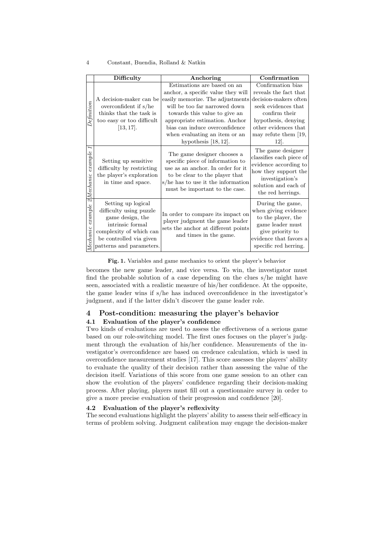#### 4 Constant, Buendia, Rolland & Natkin

|                              | Difficulty                                                                                                                                                              | Anchoring                                                                                                                                                                                                      | Confirmation                                                                                                                                                   |
|------------------------------|-------------------------------------------------------------------------------------------------------------------------------------------------------------------------|----------------------------------------------------------------------------------------------------------------------------------------------------------------------------------------------------------------|----------------------------------------------------------------------------------------------------------------------------------------------------------------|
| Definition                   | A decision-maker can be<br>overconfident if $s/he$<br>thinks that the task is<br>too easy or too difficult                                                              | Estimations are based on an<br>anchor, a specific value they will<br>easily memorize. The adjustments<br>will be too far narrowed down<br>towards this value to give an<br>appropriate estimation. Anchor      | Confirmation bias<br>reveals the fact that<br>decision-makers often<br>seek evidences that<br>confirm their<br>hypothesis, denying                             |
|                              | [13, 17].                                                                                                                                                               | bias can induce overconfidence<br>when evaluating an item or an<br>hypothesis $[18, 12]$ .                                                                                                                     | other evidences that<br>may refute them [19,<br>12.                                                                                                            |
| I<br>example<br>$2$ Mechanic | Setting up sensitive<br>difficulty by restricting<br>the player's exploration<br>in time and space.                                                                     | The game designer chooses a<br>specific piece of information to<br>use as an anchor. In order for it<br>to be clear to the player that<br>s/he has to use it the information<br>must be important to the case. | The game designer<br>classifies each piece of<br>evidence according to<br>how they support the<br>investigation's<br>solution and each of<br>the red herrings. |
| example<br>Mechanic          | Setting up logical<br>difficulty using puzzle<br>game design, the<br>intrinsic formal<br>complexity of which can<br>be controlled via given<br>patterns and parameters. | In order to compare its impact on<br>player judgment the game leader<br>sets the anchor at different points<br>and times in the game.                                                                          | During the game,<br>when giving evidence<br>to the player, the<br>game leader must<br>give priority to<br>evidence that favors a<br>specific red herring.      |

#### Fig. 1. Variables and game mechanics to orient the player's behavior

becomes the new game leader, and vice versa. To win, the investigator must find the probable solution of a case depending on the clues s/he might have seen, associated with a realistic measure of his/her confidence. At the opposite, the game leader wins if s/he has induced overconfidence in the investigator's judgment, and if the latter didn't discover the game leader role.

# 4 Post-condition: measuring the player's behavior

# 4.1 Evaluation of the player's confidence

Two kinds of evaluations are used to assess the effectiveness of a serious game based on our role-switching model. The first ones focuses on the player's judgment through the evaluation of his/her confidence. Measurements of the investigator's overconfidence are based on credence calculation, which is used in overconfidence measurement studies [17]. This score assesses the players' ability to evaluate the quality of their decision rather than assessing the value of the decision itself. Variations of this score from one game session to an other can show the evolution of the players' confidence regarding their decision-making process. After playing, players must fill out a questionnaire survey in order to give a more precise evaluation of their progression and confidence [20].

### 4.2 Evaluation of the player's reflexivity

The second evaluations highlight the players' ability to assess their self-efficacy in terms of problem solving. Judgment calibration may engage the decision-maker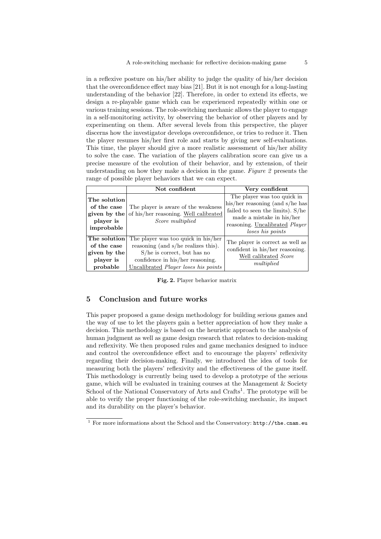in a reflexive posture on his/her ability to judge the quality of his/her decision that the overconfidence effect may bias [21]. But it is not enough for a long-lasting understanding of the behavior [22]. Therefore, in order to extend its effects, we design a re-playable game which can be experienced repeatedly within one or various training sessions. The role-switching mechanic allows the player to engage in a self-monitoring activity, by observing the behavior of other players and by experimenting on them. After several levels from this perspective, the player discerns how the investigator develops overconfidence, or tries to reduce it. Then the player resumes his/her first role and starts by giving new self-evaluations. This time, the player should give a more realistic assessment of his/her ability to solve the case. The variation of the players calibration score can give us a precise measure of the evolution of their behavior, and by extension, of their understanding on how they make a decision in the game. Figure 2 presents the range of possible player behaviors that we can expect.

|                                                                        | Not confident                                                                                                                                                                           | Very confident                                                                                                                                                                        |
|------------------------------------------------------------------------|-----------------------------------------------------------------------------------------------------------------------------------------------------------------------------------------|---------------------------------------------------------------------------------------------------------------------------------------------------------------------------------------|
| The solution<br>of the case<br>given by the<br>player is<br>improbable | The player is aware of the weakness<br>of his/her reasoning. Well calibrated<br>Score multiplied                                                                                        | The player was too quick in<br>his/her reasoning (and s/he has<br>failed to seen the limits). S/he<br>made a mistake in his/her<br>reasoning. Uncalibrated Player<br>loses his points |
| The solution<br>of the case<br>given by the<br>player is<br>probable   | The player was too quick in his/her<br>reasoning (and s/he realizes this).<br>$S/he$ is correct, but has no<br>confidence in his/her reasoning.<br>Uncalibrated Player loses his points | The player is correct as well as<br>confident in his/her reasoning.<br>Well calibrated Score<br>multiplied                                                                            |

Fig. 2. Player behavior matrix

### 5 Conclusion and future works

This paper proposed a game design methodology for building serious games and the way of use to let the players gain a better appreciation of how they make a decision. This methodology is based on the heuristic approach to the analysis of human judgment as well as game design research that relates to decision-making and reflexivity. We then proposed rules and game mechanics designed to induce and control the overconfidence effect and to encourage the players' reflexivity regarding their decision-making. Finally, we introduced the idea of tools for measuring both the players' reflexivity and the effectiveness of the game itself. This methodology is currently being used to develop a prototype of the serious game, which will be evaluated in training courses at the Management & Society School of the National Conservatory of Arts and Crafts<sup>1</sup>. The prototype will be able to verify the proper functioning of the role-switching mechanic, its impact and its durability on the player's behavior.

<sup>&</sup>lt;sup>1</sup> For more informations about the School and the Conservatory: http://the.cnam.eu